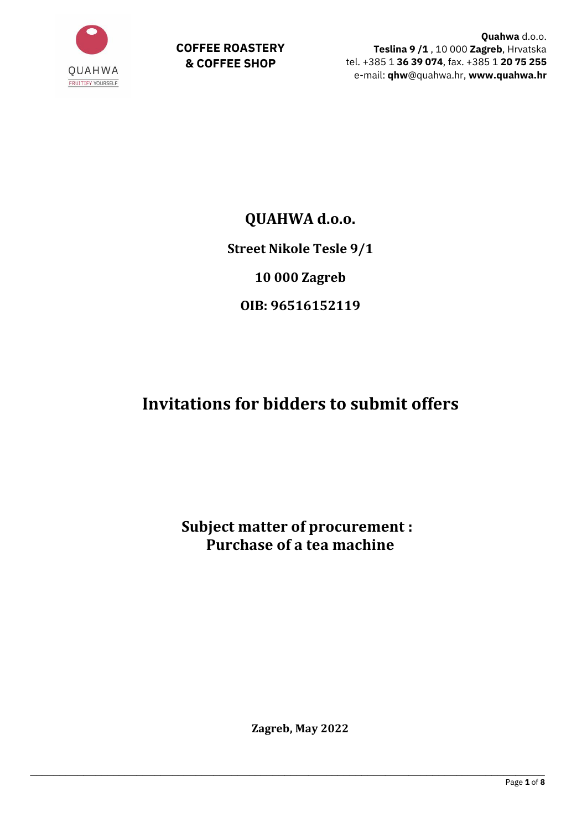

**COFFEE ROASTERY & COFFEE SHOP**

**Quahwa** d.o.o. **Teslina 9 /1** , 10 000 **Zagreb**, Hrvatska tel. +385 1 **36 39 074**, fax. +385 1 **20 75 255** e-mail: **qhw**@quahwa.hr, **www.quahwa.hr**

## **QUAHWA d.o.o.**

**Street Nikole Tesle 9/1**

**10 000 Zagreb**

**OIB: 96516152119**

# **Invitations for bidders to submit offers**

**Subject matter of procurement : Purchase of a tea machine**

**Zagreb, May 2022**

\_\_\_\_\_\_\_\_\_\_\_\_\_\_\_\_\_\_\_\_\_\_\_\_\_\_\_\_\_\_\_\_\_\_\_\_\_\_\_\_\_\_\_\_\_\_\_\_\_\_\_\_\_\_\_\_\_\_\_\_\_\_\_\_\_\_\_\_\_\_\_\_\_\_\_\_\_\_\_\_\_\_\_\_\_\_\_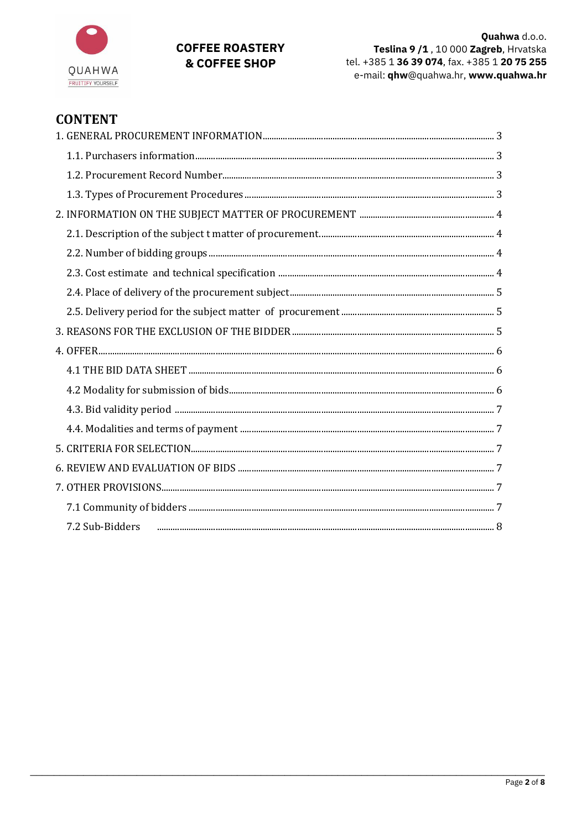

## **COFFEE ROASTERY** & COFFEE SHOP

## **CONTENT**

| 7.2 Sub-Bidders |  |
|-----------------|--|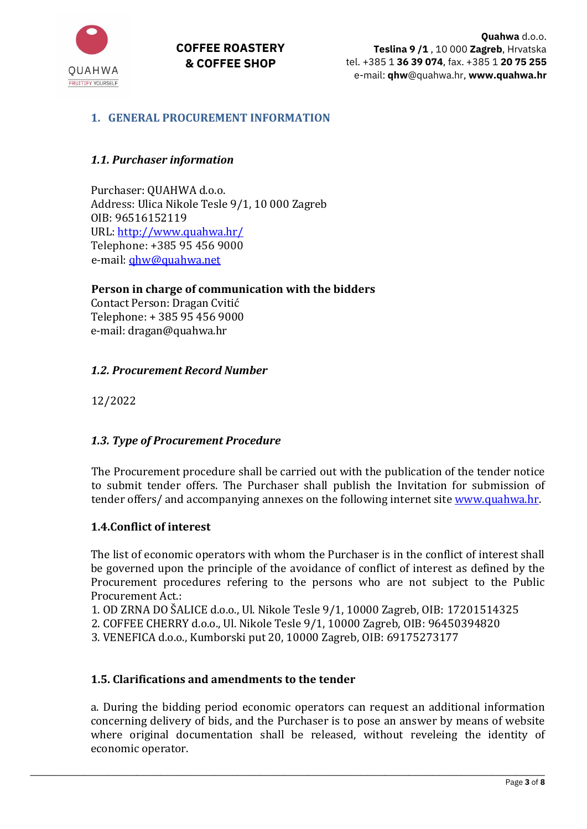**COFFEE ROASTERY & COFFEE SHOP**



## <span id="page-2-0"></span>**1. GENERAL PROCUREMENT INFORMATION**

## <span id="page-2-1"></span>*1.1. Purchaser information*

Purchaser: QUAHWA d.o.o. Address: Ulica Nikole Tesle 9/1, 10 000 Zagreb OIB: 96516152119 URL:<http://www.quahwa.hr/> Telephone: +385 95 456 9000 e-mail: [qhw@quahwa.net](mailto:qhw@quahwa.net)

#### **Person in charge of communication with the bidders**

Contact Person: Dragan Cvitić Telephone: + 385 95 456 9000 e-mail: dragan@quahwa.hr

#### <span id="page-2-2"></span>*1.2. Procurement Record Number*

12/2022

#### <span id="page-2-3"></span>*1.3. Type of Procurement Procedure*

The Procurement procedure shall be carried out with the publication of the tender notice to submit tender offers. The Purchaser shall publish the Invitation for submission of tender offers/ and accompanying annexes on the following internet site [www.quahwa.hr.](http://www.quahwa.hr/)

#### **1.4.Conflict of interest**

The list of economic operators with whom the Purchaser is in the conflict of interest shall be governed upon the principle of the avoidance of conflict of interest as defined by the Procurement procedures refering to the persons who are not subject to the Public Procurement Act.:

1. OD ZRNA DO ŠALICE d.o.o., Ul. Nikole Tesle 9/1, 10000 Zagreb, OIB: 17201514325

2. COFFEE CHERRY d.o.o., Ul. Nikole Tesle 9/1, 10000 Zagreb, OIB: 96450394820

\_\_\_\_\_\_\_\_\_\_\_\_\_\_\_\_\_\_\_\_\_\_\_\_\_\_\_\_\_\_\_\_\_\_\_\_\_\_\_\_\_\_\_\_\_\_\_\_\_\_\_\_\_\_\_\_\_\_\_\_\_\_\_\_\_\_\_\_\_\_\_\_\_\_\_\_\_\_\_\_\_\_\_\_\_\_\_

3. VENEFICA d.o.o., Kumborski put 20, 10000 Zagreb, OIB: 69175273177

#### **1.5. Clarifications and amendments to the tender**

a. During the bidding period economic operators can request an additional information concerning delivery of bids, and the Purchaser is to pose an answer by means of website where original documentation shall be released, without reveleing the identity of economic operator.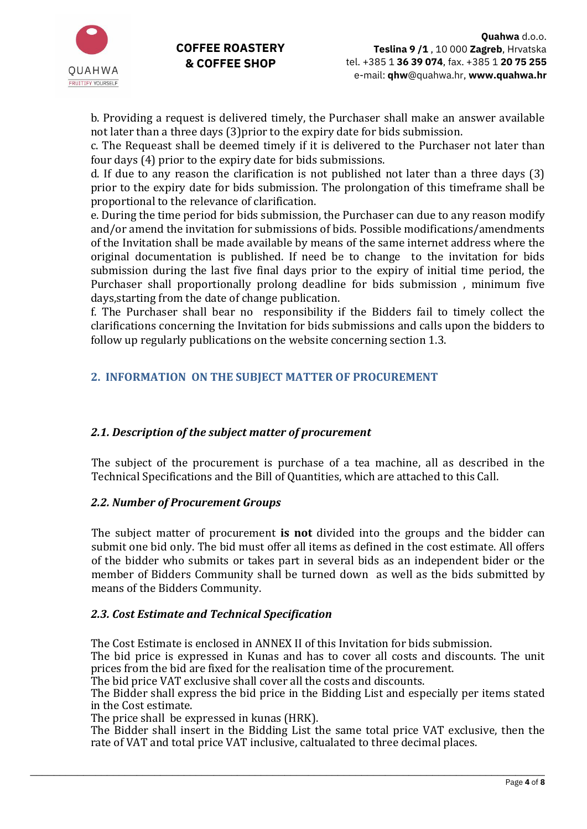

b. Providing a request is delivered timely, the Purchaser shall make an answer available not later than a three days (3)prior to the expiry date for bids submission.

c. The Requeast shall be deemed timely if it is delivered to the Purchaser not later than four days (4) prior to the expiry date for bids submissions.

d. If due to any reason the clarification is not published not later than a three days (3) prior to the expiry date for bids submission. The prolongation of this timeframe shall be proportional to the relevance of clarification.

e. During the time period for bids submission, the Purchaser can due to any reason modify and/or amend the invitation for submissions of bids. Possible modifications/amendments of the Invitation shall be made available by means of the same internet address where the original documentation is published. If need be to change to the invitation for bids submission during the last five final days prior to the expiry of initial time period, the Purchaser shall proportionally prolong deadline for bids submission , minimum five days,starting from the date of change publication.

f. The Purchaser shall bear no responsibility if the Bidders fail to timely collect the clarifications concerning the Invitation for bids submissions and calls upon the bidders to follow up regularly publications on the website concerning section 1.3.

## <span id="page-3-0"></span>**2. INFORMATION ON THE SUBJECT MATTER OF PROCUREMENT**

#### <span id="page-3-1"></span>*2.1. Description of the subject matter of procurement*

The subject of the procurement is purchase of a tea machine, all as described in the Technical Specifications and the Bill of Quantities, which are attached to this Call.

#### <span id="page-3-2"></span>*2.2. Number of Procurement Groups*

The subject matter of procurement **is not** divided into the groups and the bidder can submit one bid only. The bid must offer all items as defined in the cost estimate. All offers of the bidder who submits or takes part in several bids as an independent bider or the member of Bidders Community shall be turned down as well as the bids submitted by means of the Bidders Community.

#### <span id="page-3-3"></span>*2.3. Cost Estimate and Technical Specification*

The Cost Estimate is enclosed in ANNEX II of this Invitation for bids submission.

\_\_\_\_\_\_\_\_\_\_\_\_\_\_\_\_\_\_\_\_\_\_\_\_\_\_\_\_\_\_\_\_\_\_\_\_\_\_\_\_\_\_\_\_\_\_\_\_\_\_\_\_\_\_\_\_\_\_\_\_\_\_\_\_\_\_\_\_\_\_\_\_\_\_\_\_\_\_\_\_\_\_\_\_\_\_\_

The bid price is expressed in Kunas and has to cover all costs and discounts. The unit prices from the bid are fixed for the realisation time of the procurement.

The bid price VAT exclusive shall cover all the costs and discounts.

The Bidder shall express the bid price in the Bidding List and especially per items stated in the Cost estimate.

The price shall be expressed in kunas (HRK).

The Bidder shall insert in the Bidding List the same total price VAT exclusive, then the rate of VAT and total price VAT inclusive, caltualated to three decimal places.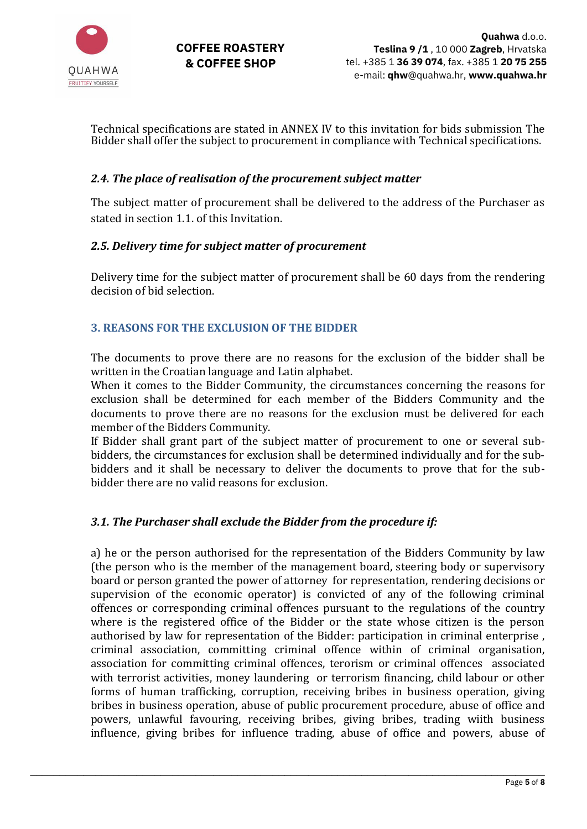

Technical specifications are stated in ANNEX IV to this invitation for bids submission The Bidder shall offer the subject to procurement in compliance with Technical specifications.

## <span id="page-4-0"></span>*2.4. The place of realisation of the procurement subject matter*

The subject matter of procurement shall be delivered to the address of the Purchaser as stated in section 1.1. of this Invitation.

#### <span id="page-4-1"></span>*2.5. Delivery time for subject matter of procurement*

Delivery time for the subject matter of procurement shall be 60 days from the rendering decision of bid selection.

## <span id="page-4-2"></span>**3. REASONS FOR THE EXCLUSION OF THE BIDDER**

The documents to prove there are no reasons for the exclusion of the bidder shall be written in the Croatian language and Latin alphabet.

When it comes to the Bidder Community, the circumstances concerning the reasons for exclusion shall be determined for each member of the Bidders Community and the documents to prove there are no reasons for the exclusion must be delivered for each member of the Bidders Community.

If Bidder shall grant part of the subject matter of procurement to one or several subbidders, the circumstances for exclusion shall be determined individually and for the subbidders and it shall be necessary to deliver the documents to prove that for the subbidder there are no valid reasons for exclusion.

#### *3.1. The Purchaser shall exclude the Bidder from the procedure if:*

a) he or the person authorised for the representation of the Bidders Community by law (the person who is the member of the management board, steering body or supervisory board or person granted the power of attorney for representation, rendering decisions or supervision of the economic operator) is convicted of any of the following criminal offences or corresponding criminal offences pursuant to the regulations of the country where is the registered office of the Bidder or the state whose citizen is the person authorised by law for representation of the Bidder: participation in criminal enterprise , criminal association, committing criminal offence within of criminal organisation, association for committing criminal offences, terorism or criminal offences associated with terrorist activities, money laundering or terrorism financing, child labour or other forms of human trafficking, corruption, receiving bribes in business operation, giving bribes in business operation, abuse of public procurement procedure, abuse of office and powers, unlawful favouring, receiving bribes, giving bribes, trading wiith business influence, giving bribes for influence trading, abuse of office and powers, abuse of

\_\_\_\_\_\_\_\_\_\_\_\_\_\_\_\_\_\_\_\_\_\_\_\_\_\_\_\_\_\_\_\_\_\_\_\_\_\_\_\_\_\_\_\_\_\_\_\_\_\_\_\_\_\_\_\_\_\_\_\_\_\_\_\_\_\_\_\_\_\_\_\_\_\_\_\_\_\_\_\_\_\_\_\_\_\_\_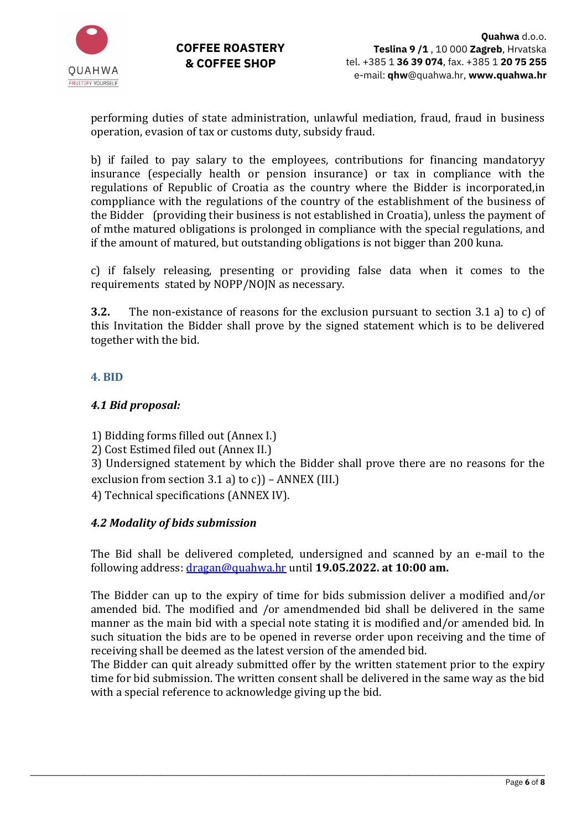

performing duties of state administration, unlawful mediation, fraud, fraud in business operation, evasion of tax or customs duty, subsidy fraud.

b) if failed to pay salary to the employees, contributions for financing mandatoryy insurance (especially health or pension insurance) or tax in compliance with the regulations of Republic of Croatia as the country where the Bidder is incorporated,in comppliance with the regulations of the country of the establishment of the business of the Bidder (providing their business is not established in Croatia), unless the payment of of mthe matured obligations is prolonged in compliance with the special regulations, and if the amount of matured, but outstanding obligations is not bigger than 200 kuna.

c) if falsely releasing, presenting or providing false data when it comes to the requirements stated by NOPP/NOJN as necessary.

**3.2.** The non-existance of reasons for the exclusion pursuant to section 3.1 a) to c) of this Invitation the Bidder shall prove by the signed statement which is to be delivered together with the bid.

## <span id="page-5-0"></span>**4. BID**

## <span id="page-5-1"></span>*4.1 Bid proposal:*

1) Bidding forms filled out (Annex I.)

2) Cost Estimed filed out (Annex II.)

3) Undersigned statement by which the Bidder shall prove there are no reasons for the exclusion from section  $3.1$  a) to c)) – ANNEX (III.)

4) Technical specifications (ANNEX IV).

## <span id="page-5-2"></span>*4.2 Modality of bids submission*

The Bid shall be delivered completed, undersigned and scanned by an e-mail to the following address: dragan@quahwa.hr until **19.05.2022. at 10:00 am.**

The Bidder can up to the expiry of time for bids submission deliver a modified and/or amended bid. The modified and /or amendmended bid shall be delivered in the same manner as the main bid with a special note stating it is modified and/or amended bid. In such situation the bids are to be opened in reverse order upon receiving and the time of receiving shall be deemed as the latest version of the amended bid.

The Bidder can quit already submitted offer by the written statement prior to the expiry time for bid submission. The written consent shall be delivered in the same way as the bid with a special reference to acknowledge giving up the bid.

\_\_\_\_\_\_\_\_\_\_\_\_\_\_\_\_\_\_\_\_\_\_\_\_\_\_\_\_\_\_\_\_\_\_\_\_\_\_\_\_\_\_\_\_\_\_\_\_\_\_\_\_\_\_\_\_\_\_\_\_\_\_\_\_\_\_\_\_\_\_\_\_\_\_\_\_\_\_\_\_\_\_\_\_\_\_\_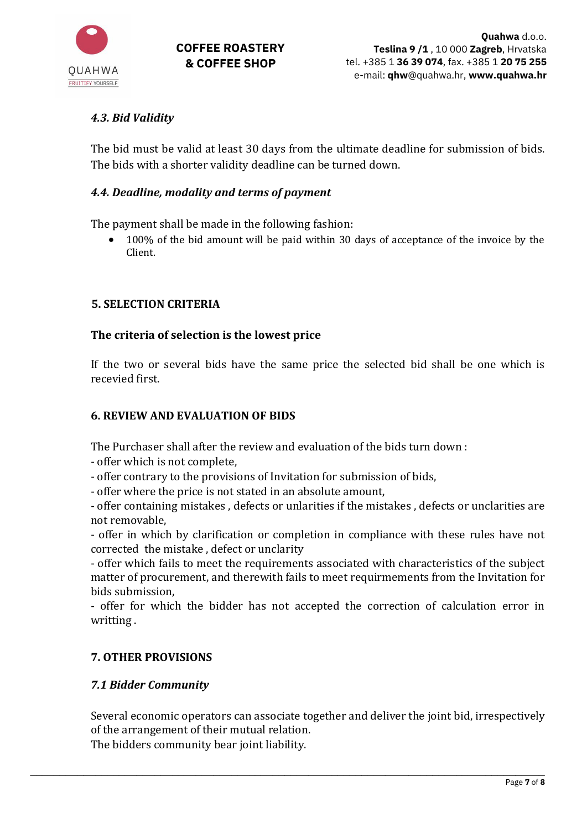

## <span id="page-6-0"></span>*4.3. Bid Validity*

The bid must be valid at least 30 days from the ultimate deadline for submission of bids. The bids with a shorter validity deadline can be turned down.

## <span id="page-6-1"></span>*4.4. Deadline, modality and terms of payment*

The payment shall be made in the following fashion:

• 100% of the bid amount will be paid within 30 days of acceptance of the invoice by the Client.

## <span id="page-6-2"></span>**5. SELECTION CRITERIA**

## **The criteria of selection is the lowest price**

If the two or several bids have the same price the selected bid shall be one which is recevied first.

## <span id="page-6-3"></span>**6. REVIEW AND EVALUATION OF BIDS**

The Purchaser shall after the review and evaluation of the bids turn down :

- offer which is not complete,

- offer contrary to the provisions of Invitation for submission of bids,

- offer where the price is not stated in an absolute amount,

- offer containing mistakes , defects or unlarities if the mistakes , defects or unclarities are not removable,

- offer in which by clarification or completion in compliance with these rules have not corrected the mistake , defect or unclarity

- offer which fails to meet the requirements associated with characteristics of the subject matter of procurement, and therewith fails to meet requirmements from the Invitation for bids submission,

- offer for which the bidder has not accepted the correction of calculation error in writting .

## <span id="page-6-4"></span>**7. OTHER PROVISIONS**

## <span id="page-6-5"></span>*7.1 Bidder Community*

Several economic operators can associate together and deliver the joint bid, irrespectively of the arrangement of their mutual relation.

\_\_\_\_\_\_\_\_\_\_\_\_\_\_\_\_\_\_\_\_\_\_\_\_\_\_\_\_\_\_\_\_\_\_\_\_\_\_\_\_\_\_\_\_\_\_\_\_\_\_\_\_\_\_\_\_\_\_\_\_\_\_\_\_\_\_\_\_\_\_\_\_\_\_\_\_\_\_\_\_\_\_\_\_\_\_\_

The bidders community bear joint liability.